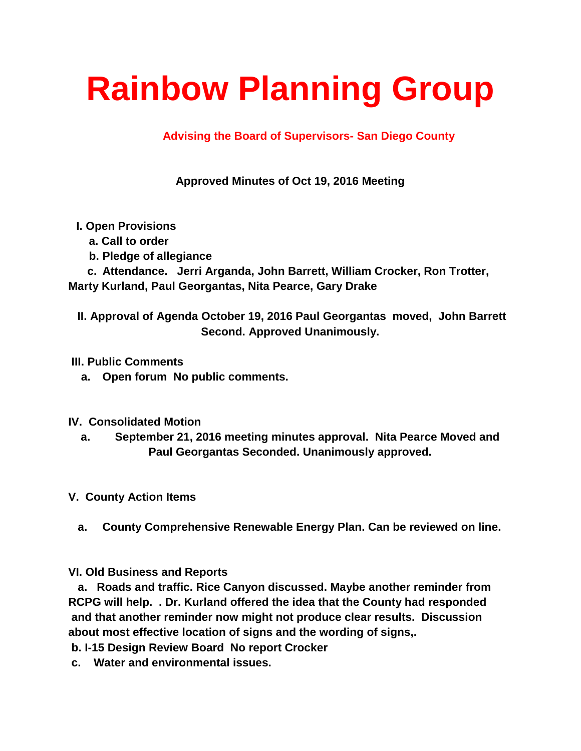## **Rainbow Planning Group**

## **Advising the Board of Supervisors- San Diego County**

**Approved Minutes of Oct 19, 2016 Meeting**

- **I. Open Provisions**
	- **a. Call to order**
	- **b. Pledge of allegiance**

 **c. Attendance. Jerri Arganda, John Barrett, William Crocker, Ron Trotter, Marty Kurland, Paul Georgantas, Nita Pearce, Gary Drake** 

**II. Approval of Agenda October 19, 2016 Paul Georgantas moved, John Barrett Second. Approved Unanimously.**

**III. Public Comments**

- **a. Open forum No public comments.**
- **IV. Consolidated Motion**
	- **a. September 21, 2016 meeting minutes approval. Nita Pearce Moved and Paul Georgantas Seconded. Unanimously approved.**
- **V. County Action Items**
	- **a. County Comprehensive Renewable Energy Plan. Can be reviewed on line.**

**VI. Old Business and Reports**

 **a. Roads and traffic. Rice Canyon discussed. Maybe another reminder from RCPG will help. . Dr. Kurland offered the idea that the County had responded and that another reminder now might not produce clear results. Discussion about most effective location of signs and the wording of signs,.**

**b. I-15 Design Review Board No report Crocker**

**c. Water and environmental issues.**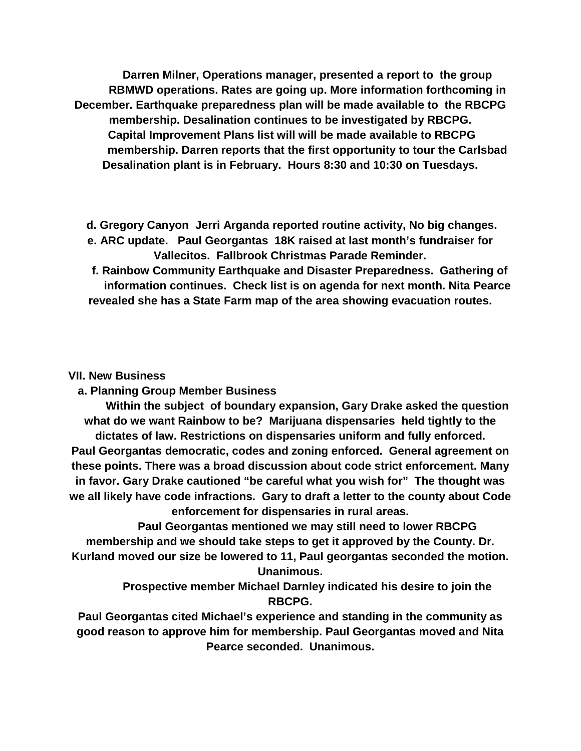**Darren Milner, Operations manager, presented a report to the group RBMWD operations. Rates are going up. More information forthcoming in December. Earthquake preparedness plan will be made available to the RBCPG membership. Desalination continues to be investigated by RBCPG. Capital Improvement Plans list will will be made available to RBCPG membership. Darren reports that the first opportunity to tour the Carlsbad Desalination plant is in February. Hours 8:30 and 10:30 on Tuesdays.**

- **d. Gregory Canyon Jerri Arganda reported routine activity, No big changes.**
- **e. ARC update. Paul Georgantas 18K raised at last month's fundraiser for Vallecitos. Fallbrook Christmas Parade Reminder.**
- **f. Rainbow Community Earthquake and Disaster Preparedness. Gathering of information continues. Check list is on agenda for next month. Nita Pearce revealed she has a State Farm map of the area showing evacuation routes.**

## **VII. New Business**

 **a. Planning Group Member Business**

 **Within the subject of boundary expansion, Gary Drake asked the question what do we want Rainbow to be? Marijuana dispensaries held tightly to the dictates of law. Restrictions on dispensaries uniform and fully enforced. Paul Georgantas democratic, codes and zoning enforced. General agreement on these points. There was a broad discussion about code strict enforcement. Many in favor. Gary Drake cautioned "be careful what you wish for" The thought was we all likely have code infractions. Gary to draft a letter to the county about Code enforcement for dispensaries in rural areas.**

 **Paul Georgantas mentioned we may still need to lower RBCPG membership and we should take steps to get it approved by the County. Dr. Kurland moved our size be lowered to 11, Paul georgantas seconded the motion. Unanimous.**

> **Prospective member Michael Darnley indicated his desire to join the RBCPG.**

**Paul Georgantas cited Michael's experience and standing in the community as good reason to approve him for membership. Paul Georgantas moved and Nita Pearce seconded. Unanimous.**